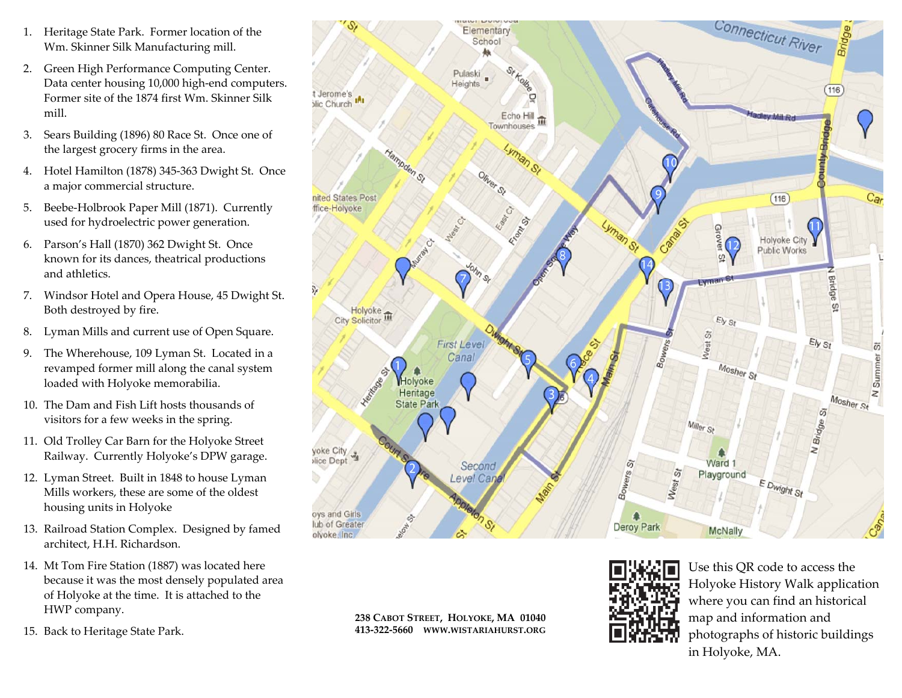- 1. Heritage State Park. Former location of the Wm. Skinner Silk Manufacturing mill.
- 2. Green High Performance Computing Center. Data center housing 10,000 high‐end computers. Former site of the 1874 first Wm. Skinner Silkmill.
- 3. Sears Building (1896) 80 Race St. Once one of the largest grocery firms in the area.
- 4. Hotel Hamilton (1878) 345‐363 Dwight St. Once a major commercial structure.
- 5. Beebe‐Holbrook Paper Mill (1871). Currently used for hydroelectric power generation.
- 6. Parson's Hall (1870) 362 Dwight St. Once known for its dances, theatrical productions and athletics.
- 7. Windsor Hotel and Opera House, 45 Dwight St. Both destroyed by fire.
- 8.Lyman Mills and current use of Open Square.
- 9. The Wherehouse, 109 Lyman St. Located in <sup>a</sup> revamped former mill along the canal system loaded with Holyoke memorabilia.
- 10. The Dam and Fish Lift hosts thousands of visitors for <sup>a</sup> few weeks in the spring.
- 11. Old Trolley Car Barn for the Holyoke Street Railway. Currently Holyoke's DPW garage.
- 12. Lyman Street. Built in 1848 to house Lyman Mills workers, these are some of the oldest housing units in Holyoke
- 13. Railroad Station Complex. Designed by famed architect, H.H. Richardson.
- 14. Mt Tom Fire Station (1887) was located here because it was the most densely populated area of Holyoke at the time. It is attached to the HWP company.
- 15. Back to Heritage State Park.



**238 CABOT STREET, HOLYOKE, MA 01040 413‐322‐5660 WWW.WISTARIAHURST.ORG**



Use this QR code to access the Holyoke History Walk application where you can find an historical map and information and photographs of historic buildings in Holyoke, MA.